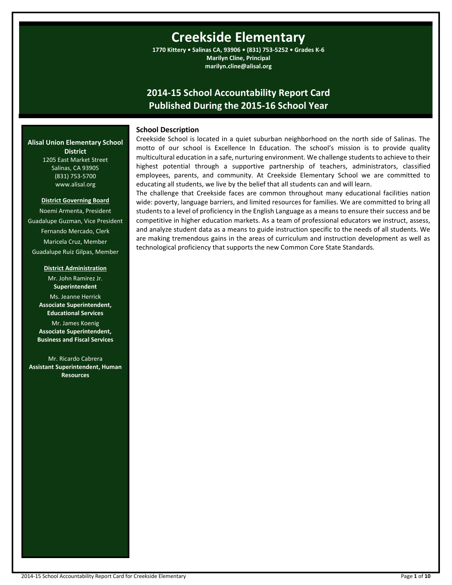# **Creekside Elementary**

**1770 Kittery • Salinas CA, 93906 • (831) 753-5252 • Grades K-6 Marilyn Cline, Principal marilyn.cline@alisal.org**

# **2014-15 School Accountability Report Card Published During the 2015-16 School Year**

# **School Description**

**Alisal Union Elementary School District** 1205 East Market Street

Salinas, CA 93905 (831) 753-5700 www.alisal.org

#### **District Governing Board**

Noemi Armenta, President Guadalupe Guzman, Vice President Fernando Mercado, Clerk Maricela Cruz, Member Guadalupe Ruiz Gilpas, Member

#### **District Administration**

Mr. John Ramirez Jr. **Superintendent** Ms. Jeanne Herrick **Associate Superintendent, Educational Services**

Mr. James Koenig **Associate Superintendent, Business and Fiscal Services**

Mr. Ricardo Cabrera **Assistant Superintendent, Human Resources**

Creekside School is located in a quiet suburban neighborhood on the north side of Salinas. The motto of our school is Excellence In Education. The school's mission is to provide quality multicultural education in a safe, nurturing environment. We challenge students to achieve to their highest potential through a supportive partnership of teachers, administrators, classified employees, parents, and community. At Creekside Elementary School we are committed to educating all students, we live by the belief that all students can and will learn.

The challenge that Creekside faces are common throughout many educational facilities nation wide: poverty, language barriers, and limited resources for families. We are committed to bring all students to a level of proficiency in the English Language as a means to ensure their success and be competitive in higher education markets. As a team of professional educators we instruct, assess, and analyze student data as a means to guide instruction specific to the needs of all students. We are making tremendous gains in the areas of curriculum and instruction development as well as technological proficiency that supports the new Common Core State Standards.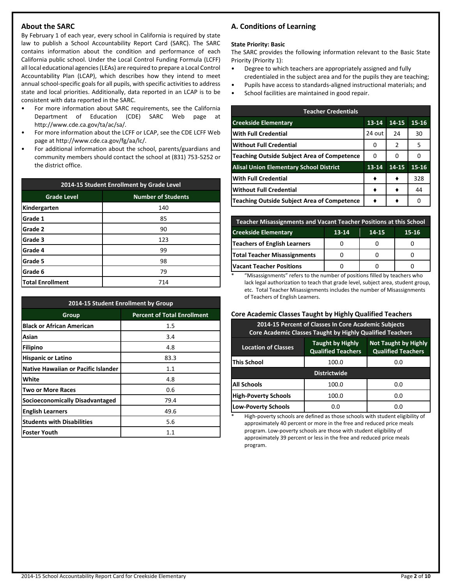# **About the SARC**

By February 1 of each year, every school in California is required by state law to publish a School Accountability Report Card (SARC). The SARC contains information about the condition and performance of each California public school. Under the Local Control Funding Formula (LCFF) all local educational agencies (LEAs) are required to prepare a Local Control Accountability Plan (LCAP), which describes how they intend to meet annual school-specific goals for all pupils, with specific activities to address state and local priorities. Additionally, data reported in an LCAP is to be consistent with data reported in the SARC.

- For more information about SARC requirements, see the California Department of Education (CDE) SARC Web page at http://www.cde.ca.gov/ta/ac/sa/.
- For more information about the LCFF or LCAP, see the CDE LCFF Web page at http://www.cde.ca.gov/fg/aa/lc/.
- For additional information about the school, parents/guardians and community members should contact the school at (831) 753-5252 or the district office.

| 2014-15 Student Enrollment by Grade Level |                           |  |  |  |
|-------------------------------------------|---------------------------|--|--|--|
| <b>Grade Level</b>                        | <b>Number of Students</b> |  |  |  |
| Kindergarten                              | 140                       |  |  |  |
| Grade 1                                   | 85                        |  |  |  |
| Grade 2                                   | 90                        |  |  |  |
| Grade 3                                   | 123                       |  |  |  |
| Grade 4                                   | 99                        |  |  |  |
| Grade 5                                   | 98                        |  |  |  |
| Grade 6                                   | 79                        |  |  |  |
| Total Enrollment                          | 714                       |  |  |  |

| 2014-15 Student Enrollment by Group        |                                    |  |  |  |
|--------------------------------------------|------------------------------------|--|--|--|
| Group                                      | <b>Percent of Total Enrollment</b> |  |  |  |
| <b>Black or African American</b>           | 1.5                                |  |  |  |
| Asian                                      | 3.4                                |  |  |  |
| <b>Filipino</b>                            | 4.8                                |  |  |  |
| <b>Hispanic or Latino</b>                  | 83.3                               |  |  |  |
| <b>Native Hawaiian or Pacific Islander</b> | 1.1                                |  |  |  |
| White                                      | 4.8                                |  |  |  |
| Two or More Races                          | 0.6                                |  |  |  |
| <b>Socioeconomically Disadvantaged</b>     | 79.4                               |  |  |  |
| <b>English Learners</b>                    | 49.6                               |  |  |  |
| <b>Students with Disabilities</b>          | 5.6                                |  |  |  |
| <b>Foster Youth</b>                        | $1.1\,$                            |  |  |  |

# **A. Conditions of Learning**

#### **State Priority: Basic**

The SARC provides the following information relevant to the Basic State Priority (Priority 1):

- Degree to which teachers are appropriately assigned and fully credentialed in the subject area and for the pupils they are teaching;
- Pupils have access to standards-aligned instructional materials; and
- School facilities are maintained in good repair.

| <b>Teacher Credentials</b>                         |           |       |           |  |  |  |
|----------------------------------------------------|-----------|-------|-----------|--|--|--|
| <b>Creekside Elementary</b>                        | 13-14     | 14-15 | $15 - 16$ |  |  |  |
| <b>With Full Credential</b>                        | 24 out    | 24    | 30        |  |  |  |
| <b>Without Full Credential</b>                     | 0         | 2     | 5         |  |  |  |
| <b>Teaching Outside Subject Area of Competence</b> | 0         | 0     | O         |  |  |  |
| <b>Alisal Union Elementary School District</b>     | $13 - 14$ | 14-15 | 15-16     |  |  |  |
| <b>With Full Credential</b>                        |           |       | 328       |  |  |  |
| Without Full Credential                            |           |       | 44        |  |  |  |
| Teaching Outside Subject Area of Competence        |           |       | O         |  |  |  |

| Teacher Misassignments and Vacant Teacher Positions at this School |  |  |  |  |  |  |
|--------------------------------------------------------------------|--|--|--|--|--|--|
| <b>Creekside Elementary</b><br>$13 - 14$<br>$15 - 16$<br>14-15     |  |  |  |  |  |  |
| Teachers of English Learners                                       |  |  |  |  |  |  |
| <b>Total Teacher Misassignments</b>                                |  |  |  |  |  |  |
| <b>Vacant Teacher Positions</b>                                    |  |  |  |  |  |  |

\* "Misassignments" refers to the number of positions filled by teachers who lack legal authorization to teach that grade level, subject area, student group, etc. Total Teacher Misassignments includes the number of Misassignments of Teachers of English Learners.

# **Core Academic Classes Taught by Highly Qualified Teachers**

| 2014-15 Percent of Classes In Core Academic Subjects<br><b>Core Academic Classes Taught by Highly Qualified Teachers</b>                       |       |     |  |  |  |  |
|------------------------------------------------------------------------------------------------------------------------------------------------|-------|-----|--|--|--|--|
| <b>Not Taught by Highly</b><br><b>Taught by Highly</b><br><b>Location of Classes</b><br><b>Qualified Teachers</b><br><b>Qualified Teachers</b> |       |     |  |  |  |  |
| This School<br>100.0<br>0.0                                                                                                                    |       |     |  |  |  |  |
| <b>Districtwide</b>                                                                                                                            |       |     |  |  |  |  |
| <b>All Schools</b>                                                                                                                             | 100.0 | 0.0 |  |  |  |  |
| <b>High-Poverty Schools</b><br>100.0<br>0.0                                                                                                    |       |     |  |  |  |  |
| <b>Low-Poverty Schools</b><br>0.O<br>0.O                                                                                                       |       |     |  |  |  |  |

High-poverty schools are defined as those schools with student eligibility of approximately 40 percent or more in the free and reduced price meals program. Low-poverty schools are those with student eligibility of approximately 39 percent or less in the free and reduced price meals program.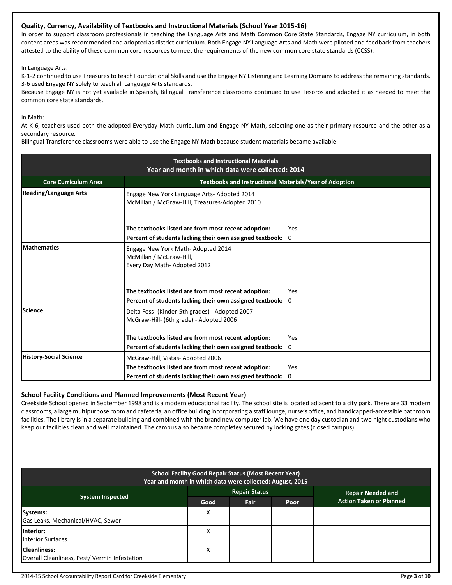# **Quality, Currency, Availability of Textbooks and Instructional Materials (School Year 2015-16)**

In order to support classroom professionals in teaching the Language Arts and Math Common Core State Standards, Engage NY curriculum, in both content areas was recommended and adopted as district curriculum. Both Engage NY Language Arts and Math were piloted and feedback from teachers attested to the ability of these common core resources to meet the requirements of the new common core state standards (CCSS).

In Language Arts:

K-1-2 continued to use Treasures to teach Foundational Skills and use the Engage NY Listening and Learning Domains to address the remaining standards. 3-6 used Engage NY solely to teach all Language Arts standards.

Because Engage NY is not yet available in Spanish, Bilingual Transference classrooms continued to use Tesoros and adapted it as needed to meet the common core state standards.

In Math:

At K-6, teachers used both the adopted Everyday Math curriculum and Engage NY Math, selecting one as their primary resource and the other as a secondary resource.

Bilingual Transference classrooms were able to use the Engage NY Math because student materials became available.

| <b>Textbooks and Instructional Materials</b><br>Year and month in which data were collected: 2014 |                                                                                                                   |                     |  |  |  |
|---------------------------------------------------------------------------------------------------|-------------------------------------------------------------------------------------------------------------------|---------------------|--|--|--|
| <b>Textbooks and Instructional Materials/Year of Adoption</b><br><b>Core Curriculum Area</b>      |                                                                                                                   |                     |  |  |  |
| <b>Reading/Language Arts</b>                                                                      | Engage New York Language Arts-Adopted 2014<br>McMillan / McGraw-Hill, Treasures-Adopted 2010                      |                     |  |  |  |
|                                                                                                   | The textbooks listed are from most recent adoption:<br>Percent of students lacking their own assigned textbook:   | Yes<br>$\mathbf{0}$ |  |  |  |
| <b>Mathematics</b>                                                                                | Engage New York Math-Adopted 2014<br>McMillan / McGraw-Hill,<br>Every Day Math-Adopted 2012                       |                     |  |  |  |
|                                                                                                   | The textbooks listed are from most recent adoption:<br>Percent of students lacking their own assigned textbook: 0 | Yes                 |  |  |  |
| Science                                                                                           | Delta Foss- (Kinder-5th grades) - Adopted 2007<br>McGraw-Hill- (6th grade) - Adopted 2006                         |                     |  |  |  |
|                                                                                                   | The textbooks listed are from most recent adoption:                                                               | Yes                 |  |  |  |
|                                                                                                   | Percent of students lacking their own assigned textbook:                                                          | 0                   |  |  |  |
| <b>History-Social Science</b>                                                                     | McGraw-Hill, Vistas-Adopted 2006                                                                                  |                     |  |  |  |
|                                                                                                   | The textbooks listed are from most recent adoption:                                                               | <b>Yes</b>          |  |  |  |
|                                                                                                   | Percent of students lacking their own assigned textbook:                                                          | 0                   |  |  |  |

# **School Facility Conditions and Planned Improvements (Most Recent Year)**

Creekside School opened in September 1998 and is a modern educational facility. The school site is located adjacent to a city park. There are 33 modern classrooms, a large multipurpose room and cafeteria, an office building incorporating a staff lounge, nurse's office, and handicapped-accessible bathroom facilities. The library is in a separate building and combined with the brand new computer lab. We have one day custodian and two night custodians who keep our facilities clean and well maintained. The campus also became completey secured by locking gates (closed campus).

| <b>School Facility Good Repair Status (Most Recent Year)</b><br>Year and month in which data were collected: August, 2015 |      |                      |      |                                |  |
|---------------------------------------------------------------------------------------------------------------------------|------|----------------------|------|--------------------------------|--|
|                                                                                                                           |      | <b>Repair Status</b> |      | <b>Repair Needed and</b>       |  |
| <b>System Inspected</b>                                                                                                   | Good | <b>Fair</b>          | Poor | <b>Action Taken or Planned</b> |  |
| Systems:<br>Gas Leaks, Mechanical/HVAC, Sewer                                                                             | X    |                      |      |                                |  |
| Interior:<br><b>Interior Surfaces</b>                                                                                     | X    |                      |      |                                |  |
| <b>Cleanliness:</b><br>Overall Cleanliness, Pest/Vermin Infestation                                                       | Χ    |                      |      |                                |  |

2014-15 School Accountability Report Card for Creekside Elementary Page **3** of **10**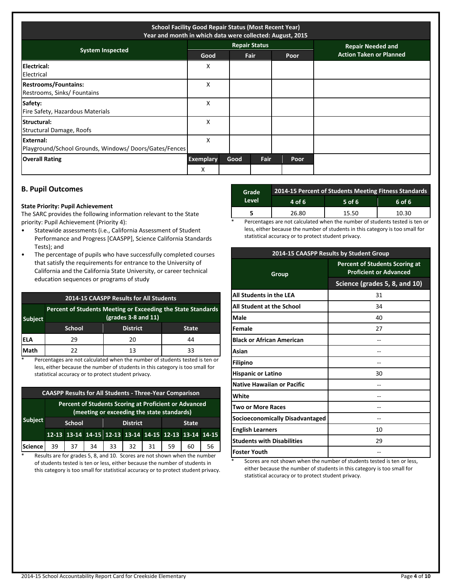| <b>School Facility Good Repair Status (Most Recent Year)</b><br>Year and month in which data were collected: August, 2015 |                  |                      |             |      |                                |
|---------------------------------------------------------------------------------------------------------------------------|------------------|----------------------|-------------|------|--------------------------------|
| <b>System Inspected</b>                                                                                                   |                  | <b>Repair Status</b> |             |      | <b>Repair Needed and</b>       |
|                                                                                                                           | Good             |                      | <b>Fair</b> | Poor | <b>Action Taken or Planned</b> |
| Electrical:<br>Electrical                                                                                                 | X                |                      |             |      |                                |
| <b>Restrooms/Fountains:</b><br>Restrooms, Sinks/ Fountains                                                                | X                |                      |             |      |                                |
| Safety:<br>Fire Safety, Hazardous Materials                                                                               | X                |                      |             |      |                                |
| <b>Structural:</b><br>Structural Damage, Roofs                                                                            | X                |                      |             |      |                                |
| External:<br>Playground/School Grounds, Windows/Doors/Gates/Fences                                                        | X                |                      |             |      |                                |
| <b>Overall Rating</b>                                                                                                     | <b>Exemplary</b> | Good                 | Fair        | Poor |                                |
|                                                                                                                           | X                |                      |             |      |                                |

# **B. Pupil Outcomes**

#### **State Priority: Pupil Achievement**

The SARC provides the following information relevant to the State priority: Pupil Achievement (Priority 4):

- Statewide assessments (i.e., California Assessment of Student Performance and Progress [CAASPP], Science California Standards Tests); and
- The percentage of pupils who have successfully completed courses that satisfy the requirements for entrance to the University of California and the California State University, or career technical education sequences or programs of study

| <b>2014-15 CAASPP Results for All Students</b> |                                                                                                                    |                 |              |  |  |
|------------------------------------------------|--------------------------------------------------------------------------------------------------------------------|-----------------|--------------|--|--|
| <b>Subject</b>                                 | Percent of Students Meeting or Exceeding the State Standards<br>$\left(\frac{\text{grades}}{3} - 8\right)$ and 11) |                 |              |  |  |
|                                                | <b>School</b>                                                                                                      | <b>District</b> | <b>State</b> |  |  |
| IELA                                           | 29                                                                                                                 | 20              | 44           |  |  |
| Math                                           | 22                                                                                                                 | 13              | 33           |  |  |

Percentages are not calculated when the number of students tested is ten or less, either because the number of students in this category is too small for statistical accuracy or to protect student privacy.

| <b>CAASPP Results for All Students - Three-Year Comparison</b>                                      |               |    |                 |    |    |              |    |                                                       |    |
|-----------------------------------------------------------------------------------------------------|---------------|----|-----------------|----|----|--------------|----|-------------------------------------------------------|----|
| Percent of Students Scoring at Proficient or Advanced<br>(meeting or exceeding the state standards) |               |    |                 |    |    |              |    |                                                       |    |
| <b>Subject</b>                                                                                      | <b>School</b> |    | <b>District</b> |    |    | <b>State</b> |    |                                                       |    |
|                                                                                                     |               |    |                 |    |    |              |    | 12-13 13-14 14-15 12-13 13-14 14-15 12-13 13-14 14-15 |    |
| Science                                                                                             | 39            | 37 | 34              | 33 | 32 | 31           | 59 | 60                                                    | 56 |

\* Results are for grades 5, 8, and 10. Scores are not shown when the number of students tested is ten or less, either because the number of students in this category is too small for statistical accuracy or to protect student privacy.

| Grade | 2014-15 Percent of Students Meeting Fitness Standards |        |        |  |  |  |
|-------|-------------------------------------------------------|--------|--------|--|--|--|
| Level | 4 of 6                                                | 5 of 6 | 6 of 6 |  |  |  |
|       | 26.80                                                 | 15.50  | 10.30  |  |  |  |
|       |                                                       |        |        |  |  |  |

Percentages are not calculated when the number of students tested is ten or less, either because the number of students in this category is too small for statistical accuracy or to protect student privacy.

| 2014-15 CAASPP Results by Student Group |                                                                        |  |  |  |
|-----------------------------------------|------------------------------------------------------------------------|--|--|--|
| Group                                   | <b>Percent of Students Scoring at</b><br><b>Proficient or Advanced</b> |  |  |  |
|                                         | Science (grades 5, 8, and 10)                                          |  |  |  |
| All Students in the LEA                 | 31                                                                     |  |  |  |
| All Student at the School               | 34                                                                     |  |  |  |
| Male                                    | 40                                                                     |  |  |  |
| Female                                  | 27                                                                     |  |  |  |
| <b>Black or African American</b>        |                                                                        |  |  |  |
| Asian                                   |                                                                        |  |  |  |
| <b>Filipino</b>                         |                                                                        |  |  |  |
| <b>Hispanic or Latino</b>               | 30                                                                     |  |  |  |
| <b>Native Hawaiian or Pacific</b>       |                                                                        |  |  |  |
| White                                   |                                                                        |  |  |  |
| Two or More Races                       |                                                                        |  |  |  |
| Socioeconomically Disadvantaged         |                                                                        |  |  |  |
| <b>English Learners</b>                 | 10                                                                     |  |  |  |
| <b>Students with Disabilities</b>       | 29                                                                     |  |  |  |
| <b>Foster Youth</b>                     |                                                                        |  |  |  |

Scores are not shown when the number of students tested is ten or less, either because the number of students in this category is too small for statistical accuracy or to protect student privacy.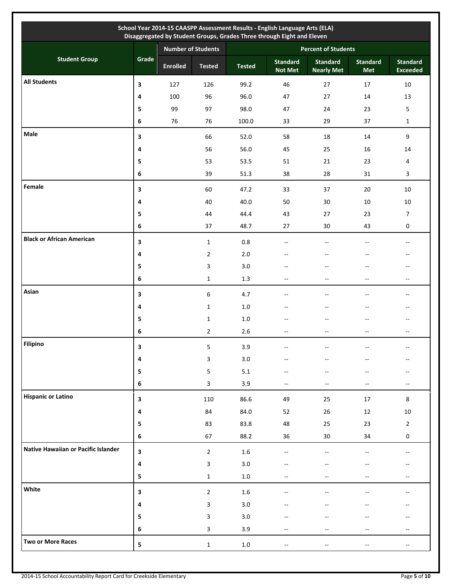|                                     |                |                           |                  |               | School Year 2014-15 CAASPP Assessment Results - English Language Arts (ELA)<br>Disaggregated by Student Groups, Grades Three through Eight and Eleven |                                      |                        |                                                     |  |
|-------------------------------------|----------------|---------------------------|------------------|---------------|-------------------------------------------------------------------------------------------------------------------------------------------------------|--------------------------------------|------------------------|-----------------------------------------------------|--|
|                                     |                | <b>Number of Students</b> |                  |               | <b>Percent of Students</b>                                                                                                                            |                                      |                        |                                                     |  |
| <b>Student Group</b>                | Grade          | <b>Enrolled</b>           | <b>Tested</b>    | <b>Tested</b> | <b>Standard</b><br><b>Not Met</b>                                                                                                                     | <b>Standard</b><br><b>Nearly Met</b> | <b>Standard</b><br>Met | <b>Standard</b><br><b>Exceeded</b>                  |  |
| <b>All Students</b>                 | 3              | 127                       | 126              | 99.2          | 46                                                                                                                                                    | 27                                   | 17                     | 10                                                  |  |
|                                     | 4              | 100                       | 96               | 96.0          | 47                                                                                                                                                    | 27                                   | 14                     | 13                                                  |  |
|                                     | 5              | 99                        | 97               | 98.0          | 47                                                                                                                                                    | 24                                   | 23                     | $\mathsf S$                                         |  |
|                                     | 6              | 76                        | 76               | 100.0         | 33                                                                                                                                                    | 29                                   | 37                     | $\mathbf{1}$                                        |  |
| Male                                | 3              |                           | 66               | 52.0          | 58                                                                                                                                                    | 18                                   | 14                     | 9                                                   |  |
|                                     | 4              |                           | 56               | 56.0          | 45                                                                                                                                                    | 25                                   | 16                     | 14                                                  |  |
|                                     | 5              |                           | 53               | 53.5          | 51                                                                                                                                                    | 21                                   | 23                     | 4                                                   |  |
|                                     | 6              |                           | 39               | 51.3          | 38                                                                                                                                                    | 28                                   | 31                     | 3                                                   |  |
| Female                              | 3              |                           | 60               | 47.2          | 33                                                                                                                                                    | 37                                   | 20                     | $10\,$                                              |  |
|                                     | 4              |                           | 40               | 40.0          | 50                                                                                                                                                    | 30                                   | $10\,$                 | $10\,$                                              |  |
|                                     | 5              |                           | 44               | 44.4          | 43                                                                                                                                                    | 27                                   | 23                     | $\overline{7}$                                      |  |
|                                     | 6              |                           | 37               | 48.7          | 27                                                                                                                                                    | 30                                   | 43                     | 0                                                   |  |
| <b>Black or African American</b>    | 3              |                           | $\mathbf{1}$     | $0.8\,$       | $- -$                                                                                                                                                 | $\overline{\phantom{a}}$             | $-$                    | $\overline{\phantom{a}}$                            |  |
|                                     | 4              |                           | $\overline{2}$   | $2.0\,$       |                                                                                                                                                       |                                      |                        | $\hspace{0.05cm} -\hspace{0.05cm} -\hspace{0.05cm}$ |  |
|                                     | 5              |                           | 3                | 3.0           | --                                                                                                                                                    | --                                   |                        | $\overline{\phantom{a}}$                            |  |
|                                     | 6              |                           | $\mathbf 1$      | $1.3\,$       | $- -$                                                                                                                                                 | $\overline{\phantom{a}}$             | $-$                    | $\overline{\phantom{a}}$                            |  |
| Asian                               | 3              |                           | $\boldsymbol{6}$ | 4.7           | Ξ.                                                                                                                                                    | Ξ.                                   | $-$                    | $\overline{\phantom{a}}$                            |  |
|                                     | 4              |                           | $\mathbf{1}$     | $1.0\,$       | --                                                                                                                                                    |                                      |                        | $\overline{\phantom{a}}$                            |  |
|                                     | 5              |                           | $\mathbf{1}$     | $1.0\,$       | $-$                                                                                                                                                   | $-$                                  | $-$                    | $\overline{\phantom{a}}$                            |  |
|                                     | 6              |                           | $\overline{2}$   | 2.6           | $-$                                                                                                                                                   | $-$                                  | $\overline{a}$         | $\overline{\phantom{a}}$                            |  |
| Filipino                            | 3              |                           | 5                | 3.9           |                                                                                                                                                       |                                      |                        |                                                     |  |
|                                     | 4              |                           | 3                | $3.0\,$       | $- -$                                                                                                                                                 | $-\!$                                |                        | $-$                                                 |  |
|                                     | 5              |                           | 5                | 5.1           |                                                                                                                                                       |                                      |                        |                                                     |  |
|                                     | 6              |                           | 3                | 3.9           | $-$                                                                                                                                                   | --                                   | --                     | $\hspace{0.05cm} -\hspace{0.05cm} -\hspace{0.05cm}$ |  |
| <b>Hispanic or Latino</b>           | 3              |                           | 110              | 86.6          | 49                                                                                                                                                    | 25                                   | 17                     | $\bf 8$                                             |  |
|                                     | 4              |                           | 84               | 84.0          | 52                                                                                                                                                    | 26                                   | 12                     | $10\,$                                              |  |
|                                     | ${\bf 5}$      |                           | 83               | 83.8          | 48                                                                                                                                                    | 25                                   | 23                     | $\overline{2}$                                      |  |
|                                     | 6              |                           | 67               | 88.2          | 36                                                                                                                                                    | $30\,$                               | 34                     | $\mathbf 0$                                         |  |
| Native Hawaiian or Pacific Islander | 3              |                           | $\overline{2}$   | $1.6\,$       | --                                                                                                                                                    | --                                   |                        | $-$                                                 |  |
|                                     | $\pmb{4}$      |                           | 3                | $3.0\,$       |                                                                                                                                                       |                                      |                        |                                                     |  |
|                                     | 5              |                           | $\mathbf{1}$     | $1.0\,$       |                                                                                                                                                       |                                      |                        |                                                     |  |
| White                               | 3              |                           | $\overline{2}$   | $1.6\,$       | --                                                                                                                                                    |                                      |                        |                                                     |  |
|                                     | 4              |                           | 3                | $3.0\,$       |                                                                                                                                                       |                                      |                        |                                                     |  |
|                                     | 5              |                           | 3                | $3.0\,$       |                                                                                                                                                       |                                      |                        |                                                     |  |
|                                     | 6              |                           | 3                | 3.9           |                                                                                                                                                       |                                      |                        |                                                     |  |
| Two or More Races                   | $5\phantom{a}$ |                           | $\mathbf 1$      | $1.0\,$       | $\overline{\phantom{a}}$                                                                                                                              | $\overline{\phantom{a}}$             |                        | $\overline{\phantom{a}}$                            |  |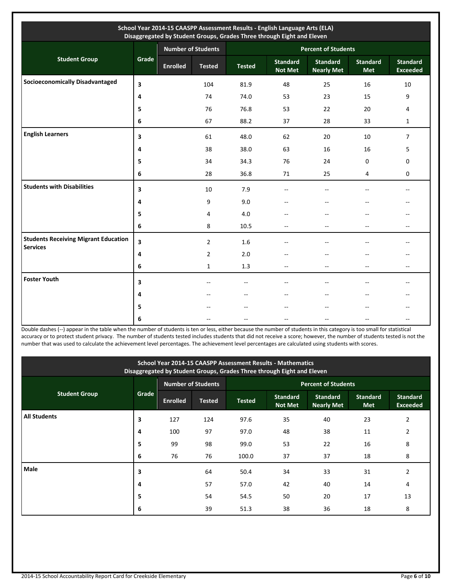| School Year 2014-15 CAASPP Assessment Results - English Language Arts (ELA)<br>Disaggregated by Student Groups, Grades Three through Eight and Eleven |                         |                           |                |                            |                                   |                                      |                        |                                    |  |
|-------------------------------------------------------------------------------------------------------------------------------------------------------|-------------------------|---------------------------|----------------|----------------------------|-----------------------------------|--------------------------------------|------------------------|------------------------------------|--|
|                                                                                                                                                       |                         | <b>Number of Students</b> |                | <b>Percent of Students</b> |                                   |                                      |                        |                                    |  |
| <b>Student Group</b>                                                                                                                                  | Grade                   | <b>Enrolled</b>           | <b>Tested</b>  | <b>Tested</b>              | <b>Standard</b><br><b>Not Met</b> | <b>Standard</b><br><b>Nearly Met</b> | <b>Standard</b><br>Met | <b>Standard</b><br><b>Exceeded</b> |  |
| <b>Socioeconomically Disadvantaged</b>                                                                                                                | $\overline{\mathbf{3}}$ |                           | 104            | 81.9                       | 48                                | 25                                   | 16                     | 10                                 |  |
|                                                                                                                                                       | 4                       |                           | 74             | 74.0                       | 53                                | 23                                   | 15                     | 9                                  |  |
|                                                                                                                                                       | 5                       |                           | 76             | 76.8                       | 53                                | 22                                   | 20                     | 4                                  |  |
|                                                                                                                                                       | 6                       |                           | 67             | 88.2                       | 37                                | 28                                   | 33                     | $\mathbf{1}$                       |  |
| <b>English Learners</b>                                                                                                                               | $\overline{\mathbf{3}}$ |                           | 61             | 48.0                       | 62                                | 20                                   | 10                     | $\overline{7}$                     |  |
|                                                                                                                                                       | 4                       |                           | 38             | 38.0                       | 63                                | 16                                   | 16                     | 5                                  |  |
|                                                                                                                                                       | 5                       |                           | 34             | 34.3                       | 76                                | 24                                   | $\mathbf{0}$           | 0                                  |  |
|                                                                                                                                                       | 6                       |                           | 28             | 36.8                       | 71                                | 25                                   | 4                      | 0                                  |  |
| <b>Students with Disabilities</b>                                                                                                                     | 3                       |                           | 10             | 7.9                        |                                   | $-$                                  |                        | $-$                                |  |
|                                                                                                                                                       | 4                       |                           | 9              | 9.0                        |                                   |                                      |                        |                                    |  |
|                                                                                                                                                       | 5                       |                           | 4              | 4.0                        |                                   |                                      |                        | --                                 |  |
|                                                                                                                                                       | 6                       |                           | 8              | 10.5                       | --                                | --                                   | --                     | --                                 |  |
| <b>Students Receiving Migrant Education</b><br><b>Services</b>                                                                                        | $\overline{\mathbf{3}}$ |                           | $\overline{2}$ | 1.6                        |                                   |                                      |                        |                                    |  |
|                                                                                                                                                       | 4                       |                           | $\overline{2}$ | 2.0                        |                                   |                                      |                        | --                                 |  |
|                                                                                                                                                       | 6                       |                           | $\mathbf{1}$   | 1.3                        | $-$                               | $\overline{a}$                       | --                     | --                                 |  |
| <b>Foster Youth</b>                                                                                                                                   | 3                       |                           | $-$            | $-$                        |                                   |                                      |                        |                                    |  |
|                                                                                                                                                       | 4                       |                           |                |                            |                                   |                                      |                        |                                    |  |
|                                                                                                                                                       | 5                       |                           |                | $-$                        |                                   | $\overline{a}$                       |                        | $-$                                |  |
|                                                                                                                                                       | 6                       |                           |                |                            |                                   |                                      |                        | --                                 |  |

Double dashes (--) appear in the table when the number of students is ten or less, either because the number of students in this category is too small for statistical accuracy or to protect student privacy. The number of students tested includes students that did not receive a score; however, the number of students tested is not the number that was used to calculate the achievement level percentages. The achievement level percentages are calculated using students with scores.

| School Year 2014-15 CAASPP Assessment Results - Mathematics<br>Disaggregated by Student Groups, Grades Three through Eight and Eleven |       |                           |               |                            |                                   |                                      |                               |                                    |  |
|---------------------------------------------------------------------------------------------------------------------------------------|-------|---------------------------|---------------|----------------------------|-----------------------------------|--------------------------------------|-------------------------------|------------------------------------|--|
|                                                                                                                                       |       | <b>Number of Students</b> |               | <b>Percent of Students</b> |                                   |                                      |                               |                                    |  |
| <b>Student Group</b>                                                                                                                  | Grade | <b>Enrolled</b>           | <b>Tested</b> | <b>Tested</b>              | <b>Standard</b><br><b>Not Met</b> | <b>Standard</b><br><b>Nearly Met</b> | <b>Standard</b><br><b>Met</b> | <b>Standard</b><br><b>Exceeded</b> |  |
| <b>All Students</b>                                                                                                                   | 3     | 127                       | 124           | 97.6                       | 35                                | 40                                   | 23                            | $\overline{2}$                     |  |
|                                                                                                                                       | 4     | 100                       | 97            | 97.0                       | 48                                | 38                                   | 11                            | 2                                  |  |
|                                                                                                                                       | 5     | 99                        | 98            | 99.0                       | 53                                | 22                                   | 16                            | 8                                  |  |
|                                                                                                                                       | 6     | 76                        | 76            | 100.0                      | 37                                | 37                                   | 18                            | 8                                  |  |
| Male                                                                                                                                  | 3     |                           | 64            | 50.4                       | 34                                | 33                                   | 31                            | $\overline{2}$                     |  |
|                                                                                                                                       | 4     |                           | 57            | 57.0                       | 42                                | 40                                   | 14                            | 4                                  |  |
|                                                                                                                                       | 5     |                           | 54            | 54.5                       | 50                                | 20                                   | 17                            | 13                                 |  |
|                                                                                                                                       | 6     |                           | 39            | 51.3                       | 38                                | 36                                   | 18                            | 8                                  |  |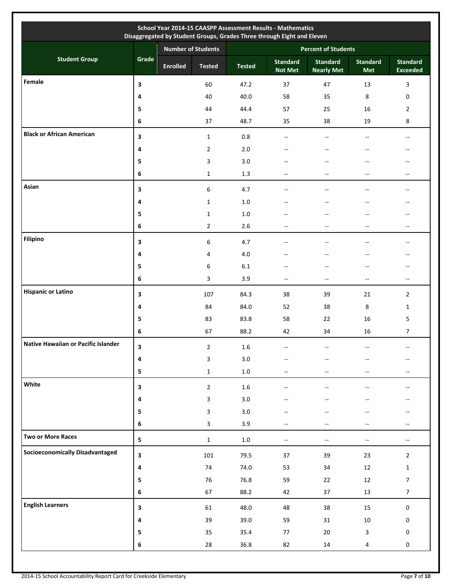|                                        |                         |                           |                         |               | School Year 2014-15 CAASPP Assessment Results - Mathematics<br>Disaggregated by Student Groups, Grades Three through Eight and Eleven |                                      |                               |                                    |
|----------------------------------------|-------------------------|---------------------------|-------------------------|---------------|---------------------------------------------------------------------------------------------------------------------------------------|--------------------------------------|-------------------------------|------------------------------------|
|                                        |                         | <b>Number of Students</b> |                         |               |                                                                                                                                       | <b>Percent of Students</b>           |                               |                                    |
| <b>Student Group</b>                   | Grade                   | <b>Enrolled</b>           | <b>Tested</b>           | <b>Tested</b> | <b>Standard</b><br><b>Not Met</b>                                                                                                     | <b>Standard</b><br><b>Nearly Met</b> | <b>Standard</b><br><b>Met</b> | <b>Standard</b><br><b>Exceeded</b> |
| Female                                 | 3                       |                           | 60                      | 47.2          | 37                                                                                                                                    | 47                                   | 13                            | 3                                  |
|                                        | 4                       |                           | 40                      | 40.0          | 58                                                                                                                                    | 35                                   | 8                             | 0                                  |
|                                        | 5                       |                           | 44                      | 44.4          | 57                                                                                                                                    | 25                                   | 16                            | $\overline{2}$                     |
|                                        | 6                       |                           | 37                      | 48.7          | 35                                                                                                                                    | 38                                   | 19                            | 8                                  |
| <b>Black or African American</b>       | 3                       |                           | $\mathbf{1}$            | $0.8\,$       | $\sim$                                                                                                                                | $\overline{\phantom{a}}$             |                               | $- -$                              |
|                                        | 4                       |                           | $\overline{2}$          | 2.0           | --                                                                                                                                    | --                                   |                               |                                    |
|                                        | 5                       |                           | 3                       | 3.0           |                                                                                                                                       |                                      |                               |                                    |
|                                        | 6                       |                           | $\mathbf{1}$            | 1.3           | --                                                                                                                                    | --                                   | --                            | --                                 |
| Asian                                  | 3                       |                           | 6                       | 4.7           | --                                                                                                                                    | $-$                                  |                               | --                                 |
|                                        | 4                       |                           | $\mathbf{1}$            | $1.0\,$       | --                                                                                                                                    | --                                   |                               | --                                 |
|                                        | 5                       |                           | $\mathbf{1}$            | $1.0$         | $-$                                                                                                                                   | $-$                                  |                               | --                                 |
|                                        | 6                       |                           | $\overline{2}$          | 2.6           | $-$                                                                                                                                   | $-$                                  | $-$                           | --                                 |
| <b>Filipino</b>                        | 3                       |                           | 6                       | 4.7           |                                                                                                                                       | $-$                                  |                               | $-$                                |
|                                        | 4                       |                           | 4                       | 4.0           |                                                                                                                                       | --                                   |                               | --                                 |
|                                        | 5                       |                           | 6                       | 6.1           | --                                                                                                                                    | $-$                                  |                               | --                                 |
|                                        | 6                       |                           | 3                       | 3.9           | $- -$                                                                                                                                 | $\overline{\phantom{a}}$             | --                            | --                                 |
| <b>Hispanic or Latino</b>              | 3                       |                           | 107                     | 84.3          | 38                                                                                                                                    | 39                                   | 21                            | $\overline{2}$                     |
|                                        | 4                       |                           | 84                      | 84.0          | 52                                                                                                                                    | 38                                   | 8                             | $\mathbf{1}$                       |
|                                        | 5                       |                           | 83                      | 83.8          | 58                                                                                                                                    | 22                                   | 16                            | 5                                  |
|                                        | 6                       |                           | 67                      | 88.2          | 42                                                                                                                                    | 34                                   | 16                            | $\overline{7}$                     |
| Native Hawaiian or Pacific Islander    | 3                       |                           | $\overline{2}$          | $1.6\,$       |                                                                                                                                       |                                      |                               |                                    |
|                                        | 4                       |                           | $\mathbf{3}$            | $3.0\,$       | --                                                                                                                                    |                                      |                               |                                    |
|                                        | $\overline{\mathbf{5}}$ |                           | $\mathbf 1$             | $1.0\,$       | --                                                                                                                                    | --                                   |                               | --                                 |
| White                                  | 3                       |                           | $\overline{2}$          | $1.6\,$       | $\sim$ $\sim$                                                                                                                         | $\overline{\phantom{a}}$             | $-$                           | $-$                                |
|                                        | 4                       |                           | $\overline{\mathbf{3}}$ | 3.0           | $\overline{a}$                                                                                                                        | $-$                                  |                               | --                                 |
|                                        | 5                       |                           | 3                       | 3.0           | $-$                                                                                                                                   | $-$                                  |                               | --                                 |
|                                        | 6                       |                           | 3                       | 3.9           | $-$                                                                                                                                   | $-$                                  | $-$                           | $-$                                |
| Two or More Races                      | $\overline{\mathbf{5}}$ |                           | $\mathbf{1}$            | $1.0\,$       | $\hspace{0.05cm} \ldots$                                                                                                              | $\overline{\phantom{a}}$             | $\overline{\phantom{a}}$      | --                                 |
| <b>Socioeconomically Disadvantaged</b> | $\overline{\mathbf{3}}$ |                           | 101                     | 79.5          | 37                                                                                                                                    | 39                                   | 23                            | $\overline{2}$                     |
|                                        | 4                       |                           | 74                      | 74.0          | 53                                                                                                                                    | 34                                   | 12                            | $\mathbf{1}$                       |
|                                        | 5                       |                           | 76                      | 76.8          | 59                                                                                                                                    | 22                                   | 12                            | $\overline{7}$                     |
|                                        | $\bf 6$                 |                           | 67                      | 88.2          | 42                                                                                                                                    | 37                                   | 13                            | 7 <sup>7</sup>                     |
| <b>English Learners</b>                | 3                       |                           | 61                      | 48.0          | 48                                                                                                                                    | 38                                   | 15                            | 0                                  |
|                                        | $\pmb{4}$               |                           | 39                      | 39.0          | 59                                                                                                                                    | 31                                   | $10\,$                        | 0                                  |
|                                        | 5                       |                           | 35                      | 35.4          | 77                                                                                                                                    | $20\,$                               | $\mathbf{3}$                  | 0                                  |
|                                        | $\bf 6$                 |                           | 28                      | 36.8          | 82                                                                                                                                    | 14                                   | $\overline{4}$                | 0                                  |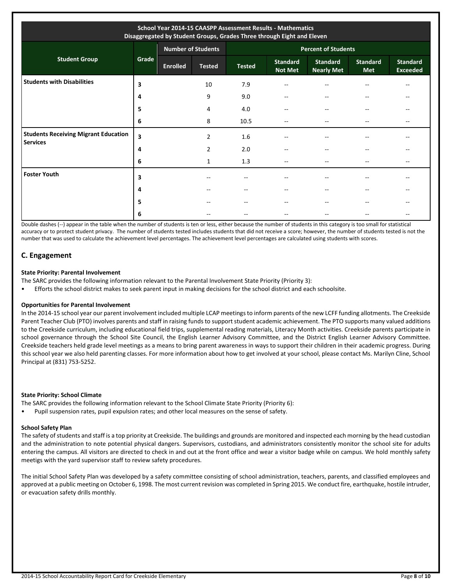| School Year 2014-15 CAASPP Assessment Results - Mathematics<br>Disaggregated by Student Groups, Grades Three through Eight and Eleven |       |                 |                           |                            |                                   |                                      |                               |                                    |  |
|---------------------------------------------------------------------------------------------------------------------------------------|-------|-----------------|---------------------------|----------------------------|-----------------------------------|--------------------------------------|-------------------------------|------------------------------------|--|
|                                                                                                                                       |       |                 | <b>Number of Students</b> | <b>Percent of Students</b> |                                   |                                      |                               |                                    |  |
| <b>Student Group</b>                                                                                                                  | Grade | <b>Enrolled</b> | <b>Tested</b>             | <b>Tested</b>              | <b>Standard</b><br><b>Not Met</b> | <b>Standard</b><br><b>Nearly Met</b> | <b>Standard</b><br><b>Met</b> | <b>Standard</b><br><b>Exceeded</b> |  |
| <b>Students with Disabilities</b>                                                                                                     | 3     |                 | 10                        | 7.9                        | --                                |                                      |                               | --                                 |  |
|                                                                                                                                       | 4     |                 | 9                         | 9.0                        | --                                |                                      |                               | --                                 |  |
|                                                                                                                                       | 5     |                 | 4                         | 4.0                        | --                                |                                      |                               | --                                 |  |
|                                                                                                                                       | 6     |                 | 8                         | 10.5                       | --                                |                                      |                               |                                    |  |
| <b>Students Receiving Migrant Education</b><br><b>Services</b>                                                                        | 3     |                 | $\overline{2}$            | 1.6                        | --                                |                                      |                               |                                    |  |
|                                                                                                                                       | 4     |                 | 2                         | 2.0                        | --                                | $-$                                  | --                            | --                                 |  |
|                                                                                                                                       | 6     |                 | 1                         | 1.3                        | --                                |                                      |                               | --                                 |  |
| <b>Foster Youth</b>                                                                                                                   | 3     |                 |                           | --                         | --                                |                                      |                               |                                    |  |
|                                                                                                                                       | 4     |                 |                           | --                         | --                                |                                      |                               | --                                 |  |
|                                                                                                                                       | 5     |                 | $- -$                     | $- -$                      | --                                |                                      |                               | --                                 |  |
|                                                                                                                                       | 6     |                 |                           |                            |                                   |                                      |                               |                                    |  |

Double dashes (--) appear in the table when the number of students is ten or less, either because the number of students in this category is too small for statistical accuracy or to protect student privacy. The number of students tested includes students that did not receive a score; however, the number of students tested is not the number that was used to calculate the achievement level percentages. The achievement level percentages are calculated using students with scores.

# **C. Engagement**

#### **State Priority: Parental Involvement**

- The SARC provides the following information relevant to the Parental Involvement State Priority (Priority 3):
- Efforts the school district makes to seek parent input in making decisions for the school district and each schoolsite.

#### **Opportunities for Parental Involvement**

In the 2014-15 school year our parent involvement included multiple LCAP meetings to inform parents of the new LCFF funding allotments. The Creekside Parent Teacher Club (PTO) involves parents and staff in raising funds to support student academic achievement. The PTO supports many valued additions to the Creekside curriculum, including educational field trips, supplemental reading materials, Literacy Month activities. Creekside parents participate in school governance through the School Site Council, the English Learner Advisory Committee, and the District English Learner Advisory Committee. Creekside teachers held grade level meetings as a means to bring parent awareness in ways to support their children in their academic progress. During this school year we also held parenting classes. For more information about how to get involved at your school, please contact Ms. Marilyn Cline, School Principal at (831) 753-5252.

#### **State Priority: School Climate**

- The SARC provides the following information relevant to the School Climate State Priority (Priority 6):
- Pupil suspension rates, pupil expulsion rates; and other local measures on the sense of safety.

# **School Safety Plan**

The safety of students and staff is a top priority at Creekside. The buildings and grounds are monitored and inspected each morning by the head custodian and the administration to note potential physical dangers. Supervisors, custodians, and administrators consistently monitor the school site for adults entering the campus. All visitors are directed to check in and out at the front office and wear a visitor badge while on campus. We hold monthly safety meetigs with the yard supervisor staff to review safety procedures.

The initial School Safety Plan was developed by a safety committee consisting of school administration, teachers, parents, and classified employees and approved at a public meeting on October 6, 1998. The most current revision was completed in Spring 2015. We conduct fire, earthquake, hostile intruder, or evacuation safety drills monthly.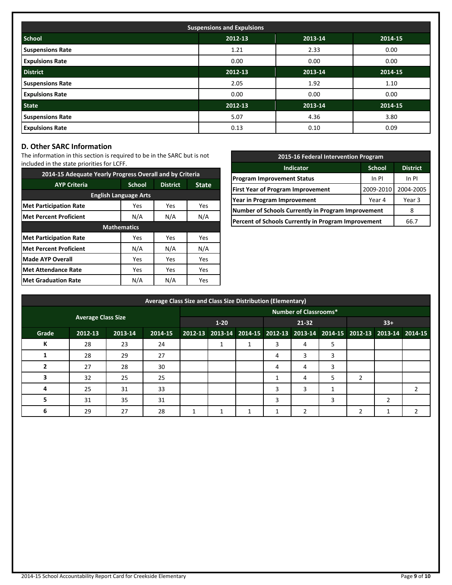| <b>Suspensions and Expulsions</b> |         |         |         |  |  |  |
|-----------------------------------|---------|---------|---------|--|--|--|
| <b>School</b>                     | 2012-13 | 2013-14 | 2014-15 |  |  |  |
| <b>Suspensions Rate</b>           | 1.21    | 2.33    | 0.00    |  |  |  |
| <b>Expulsions Rate</b>            | 0.00    | 0.00    | 0.00    |  |  |  |
| <b>District</b>                   | 2012-13 | 2013-14 | 2014-15 |  |  |  |
| <b>Suspensions Rate</b>           | 2.05    | 1.92    | 1.10    |  |  |  |
| <b>Expulsions Rate</b>            | 0.00    | 0.00    | 0.00    |  |  |  |
| <b>State</b>                      | 2012-13 | 2013-14 | 2014-15 |  |  |  |
| <b>Suspensions Rate</b>           | 5.07    | 4.36    | 3.80    |  |  |  |
| <b>Expulsions Rate</b>            | 0.13    | 0.10    | 0.09    |  |  |  |

# **D. Other SARC Information**

The information in this section is required to be in the SARC but is not included in the state priorities for LCFF.

| 2014-15 Adequate Yearly Progress Overall and by Criteria |                    |                 |              |  |  |  |  |
|----------------------------------------------------------|--------------------|-----------------|--------------|--|--|--|--|
| <b>AYP Criteria</b>                                      | <b>School</b>      | <b>District</b> | <b>State</b> |  |  |  |  |
| <b>English Language Arts</b>                             |                    |                 |              |  |  |  |  |
| <b>Met Participation Rate</b>                            | Yes                | Yes             | Yes          |  |  |  |  |
| <b>Met Percent Proficient</b>                            | N/A<br>N/A<br>N/A  |                 |              |  |  |  |  |
|                                                          | <b>Mathematics</b> |                 |              |  |  |  |  |
| <b>Met Participation Rate</b>                            | Yes                | Yes             | Yes          |  |  |  |  |
| <b>Met Percent Proficient</b>                            | N/A                | N/A             | N/A          |  |  |  |  |
| <b>Made AYP Overall</b>                                  | Yes                | Yes             | Yes          |  |  |  |  |
| <b>Met Attendance Rate</b>                               | Yes                | Yes             | Yes          |  |  |  |  |
| <b>Met Graduation Rate</b>                               | N/A                | N/A             | <b>Yes</b>   |  |  |  |  |

| 2015-16 Federal Intervention Program                 |           |        |  |  |  |  |
|------------------------------------------------------|-----------|--------|--|--|--|--|
| <b>District</b><br><b>Indicator</b><br><b>School</b> |           |        |  |  |  |  |
| <b>Program Improvement Status</b>                    | In PI     |        |  |  |  |  |
| <b>First Year of Program Improvement</b>             | 2009-2010 |        |  |  |  |  |
| Year in Program Improvement                          | Year 4    | Year 3 |  |  |  |  |
| Number of Schools Currently in Program Improvement   |           |        |  |  |  |  |
| Percent of Schools Currently in Program Improvement  | 66.7      |        |  |  |  |  |

|       | Average Class Size and Class Size Distribution (Elementary) |         |                              |  |          |  |           |    |   |       |                                                                         |   |
|-------|-------------------------------------------------------------|---------|------------------------------|--|----------|--|-----------|----|---|-------|-------------------------------------------------------------------------|---|
|       |                                                             |         | <b>Number of Classrooms*</b> |  |          |  |           |    |   |       |                                                                         |   |
|       | <b>Average Class Size</b>                                   |         |                              |  | $1 - 20$ |  | $21 - 32$ |    |   | $33+$ |                                                                         |   |
| Grade | 2012-13                                                     | 2013-14 | 2014-15                      |  |          |  |           |    |   |       | 2012-13 2013-14 2014-15 2012-13 2013-14 2014-15 2012-13 2013-14 2014-15 |   |
| К     | 28                                                          | 23      | 24                           |  | 1        |  | 3         | 4  | 5 |       |                                                                         |   |
|       | 28                                                          | 29      | 27                           |  |          |  | 4         | 3  | 3 |       |                                                                         |   |
|       | 27                                                          | 28      | 30                           |  |          |  | 4         | 4  | 3 |       |                                                                         |   |
|       | 32                                                          | 25      | 25                           |  |          |  |           | 4  | 5 | 2     |                                                                         |   |
|       | 25                                                          | 31      | 33                           |  |          |  | 3         | 3  |   |       |                                                                         | 2 |
|       | 31                                                          | 35      | 31                           |  |          |  | 3         |    | 3 |       | ຳ                                                                       |   |
| 6     | 29                                                          | 27      | 28                           |  |          |  |           | C. |   |       |                                                                         |   |